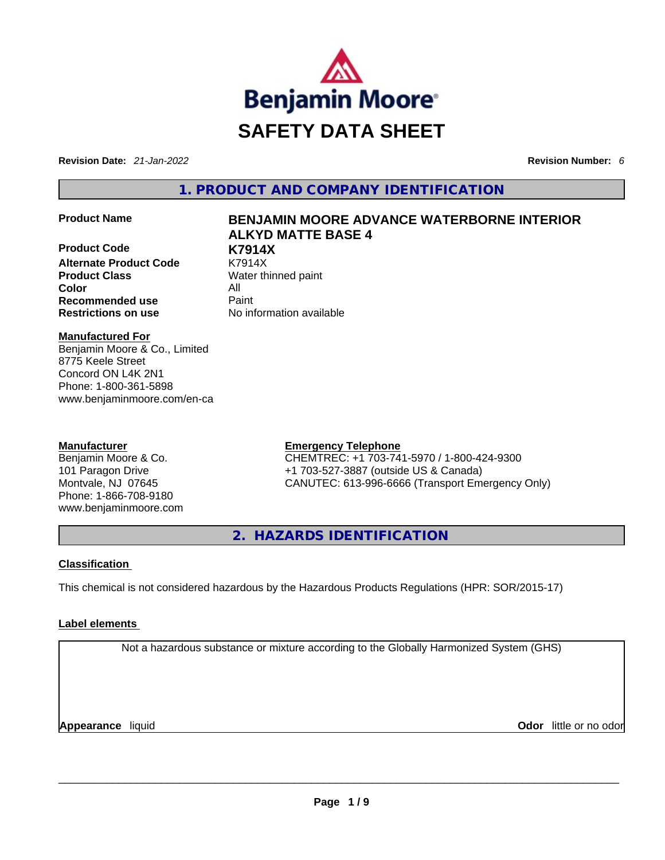

**Revision Date:** *21-Jan-2022* **Revision Number:** *6*

**1. PRODUCT AND COMPANY IDENTIFICATION** 

**Product Code <b>by K7914X**<br> **Alternate Product Code K7914X Alternate Product Code Product Class Water thinned paint Color** All **Recommended use Paint Restrictions on use** No information available

# **Product Name BENJAMIN MOORE ADVANCE WATERBORNE INTERIOR ALKYD MATTE BASE 4**

**Manufactured For** Benjamin Moore & Co., Limited 8775 Keele Street Concord ON L4K 2N1 Phone: 1-800-361-5898 www.benjaminmoore.com/en-ca

# **Manufacturer**

Benjamin Moore & Co. 101 Paragon Drive Montvale, NJ 07645 Phone: 1-866-708-9180 www.benjaminmoore.com

# **Emergency Telephone**

CHEMTREC: +1 703-741-5970 / 1-800-424-9300 +1 703-527-3887 (outside US & Canada) CANUTEC: 613-996-6666 (Transport Emergency Only)

**2. HAZARDS IDENTIFICATION** 

# **Classification**

This chemical is not considered hazardous by the Hazardous Products Regulations (HPR: SOR/2015-17)

# **Label elements**

Not a hazardous substance or mixture according to the Globally Harmonized System (GHS)

**Appearance** liquid **Odor** little or no odor \_\_\_\_\_\_\_\_\_\_\_\_\_\_\_\_\_\_\_\_\_\_\_\_\_\_\_\_\_\_\_\_\_\_\_\_\_\_\_\_\_\_\_\_\_\_\_\_\_\_\_\_\_\_\_\_\_\_\_\_\_\_\_\_\_\_\_\_\_\_\_\_\_\_\_\_\_\_\_\_\_\_\_\_\_\_\_\_\_\_\_\_\_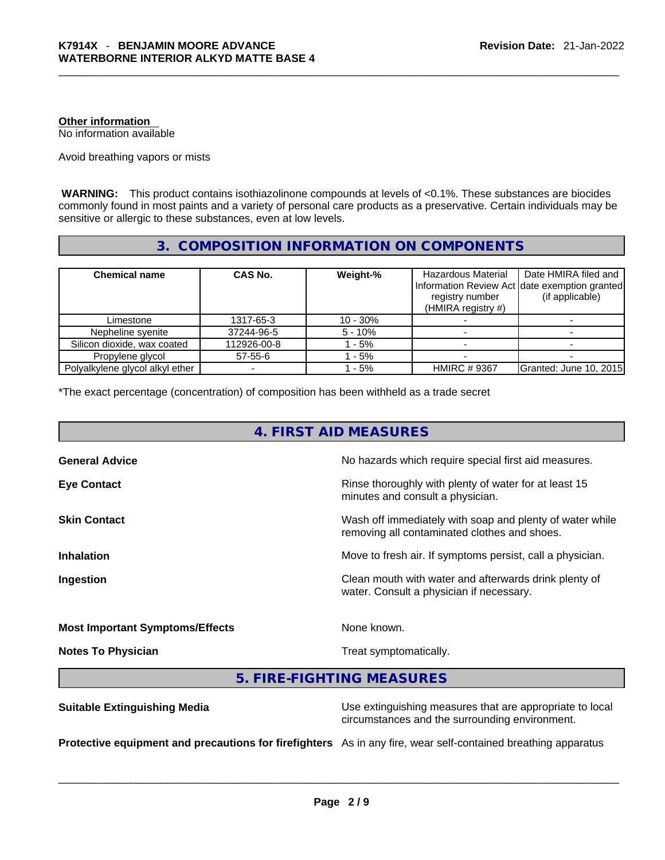# **Other information**

No information available

Avoid breathing vapors or mists

 **WARNING:** This product contains isothiazolinone compounds at levels of <0.1%. These substances are biocides commonly found in most paints and a variety of personal care products as a preservative. Certain individuals may be sensitive or allergic to these substances, even at low levels.

# **3. COMPOSITION INFORMATION ON COMPONENTS**

| <b>Chemical name</b>            | <b>CAS No.</b> | Weight-%   | Hazardous Material<br>registry number<br>(HMIRA registry #) | Date HMIRA filed and<br>Information Review Act date exemption granted<br>(if applicable) |
|---------------------------------|----------------|------------|-------------------------------------------------------------|------------------------------------------------------------------------------------------|
| Limestone                       | 1317-65-3      | $10 - 30%$ |                                                             |                                                                                          |
| Nepheline syenite               | 37244-96-5     | $5 - 10%$  |                                                             |                                                                                          |
| Silicon dioxide, wax coated     | 112926-00-8    | $-5%$      |                                                             |                                                                                          |
| Propylene glycol                | 57-55-6        | $-5%$      |                                                             |                                                                                          |
| Polyalkylene glycol alkyl ether |                | - 5%       | <b>HMIRC #9367</b>                                          | Granted: June 10, 2015                                                                   |

\*The exact percentage (concentration) of composition has been withheld as a trade secret

| 4. FIRST AID MEASURES                  |                                                                                                          |  |
|----------------------------------------|----------------------------------------------------------------------------------------------------------|--|
| <b>General Advice</b>                  | No hazards which require special first aid measures.                                                     |  |
| <b>Eye Contact</b>                     | Rinse thoroughly with plenty of water for at least 15<br>minutes and consult a physician.                |  |
| <b>Skin Contact</b>                    | Wash off immediately with soap and plenty of water while<br>removing all contaminated clothes and shoes. |  |
| <b>Inhalation</b>                      | Move to fresh air. If symptoms persist, call a physician.                                                |  |
| Ingestion                              | Clean mouth with water and afterwards drink plenty of<br>water. Consult a physician if necessary.        |  |
| <b>Most Important Symptoms/Effects</b> | None known.                                                                                              |  |
| <b>Notes To Physician</b>              | Treat symptomatically.                                                                                   |  |
|                                        | 5. FIRE-FIGHTING MEASURES                                                                                |  |
|                                        |                                                                                                          |  |

|                                                                                                               | circumstances and the surrounding environment. |
|---------------------------------------------------------------------------------------------------------------|------------------------------------------------|
| Protective equipment and precautions for firefighters As in any fire, wear self-contained breathing apparatus |                                                |

**Suitable Extinguishing Media** Media Use extinguishing measures that are appropriate to local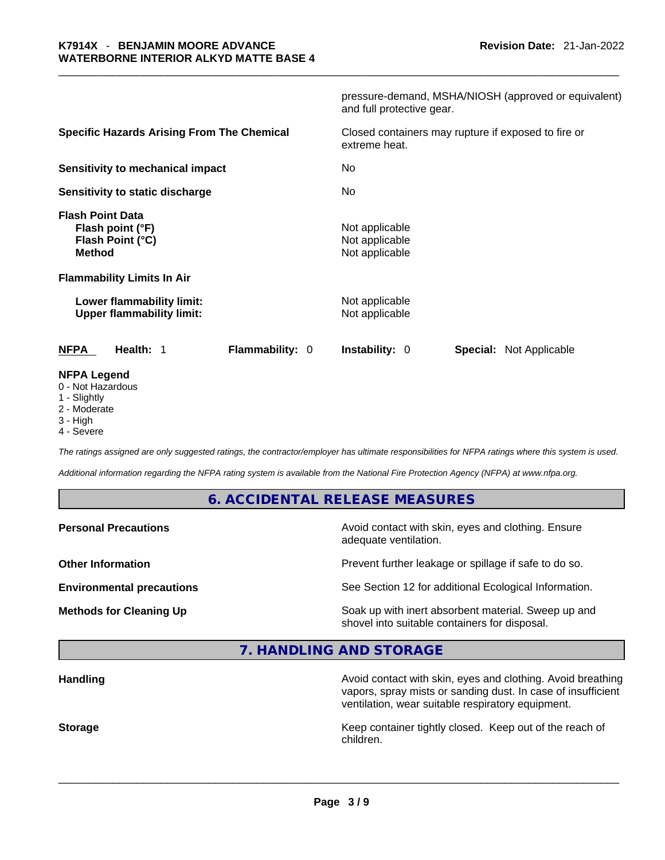| <b>NFPA Legend</b><br>0 - Not Hazardous<br>1 - Slightly                          |                                                                                   |
|----------------------------------------------------------------------------------|-----------------------------------------------------------------------------------|
| <b>NFPA</b><br>Health: 1<br>Flammability: 0                                      | <b>Instability: 0</b><br><b>Special: Not Applicable</b>                           |
| Lower flammability limit:<br><b>Upper flammability limit:</b>                    | Not applicable<br>Not applicable                                                  |
| <b>Flammability Limits In Air</b>                                                |                                                                                   |
| <b>Flash Point Data</b><br>Flash point (°F)<br>Flash Point (°C)<br><b>Method</b> | Not applicable<br>Not applicable<br>Not applicable                                |
| Sensitivity to static discharge                                                  | No                                                                                |
| <b>Sensitivity to mechanical impact</b>                                          | No                                                                                |
| <b>Specific Hazards Arising From The Chemical</b>                                | Closed containers may rupture if exposed to fire or<br>extreme heat.              |
|                                                                                  | pressure-demand, MSHA/NIOSH (approved or equivalent)<br>and full protective gear. |

- 2 Moderate
- 3 High
- 4 Severe

*The ratings assigned are only suggested ratings, the contractor/employer has ultimate responsibilities for NFPA ratings where this system is used.* 

*Additional information regarding the NFPA rating system is available from the National Fire Protection Agency (NFPA) at www.nfpa.org.* 

# **6. ACCIDENTAL RELEASE MEASURES**

**Other Information Other Information Prevent further leakage or spillage if safe to do so.** 

Avoid contact with skin, eyes and clothing. Ensure adequate ventilation.

**Environmental precautions** See Section 12 for additional Ecological Information.

**Methods for Cleaning Up Soak up with inert absorbent material. Sweep up and** shovel into suitable containers for disposal.

**7. HANDLING AND STORAGE** 

**Handling Avoid contact with skin, eyes and clothing. Avoid breathing Handling Avoid breathing** vapors, spray mists or sanding dust. In case of insufficient ventilation, wear suitable respiratory equipment. **Storage Keep container tightly closed. Keep out of the reach of Keep** container tightly closed. Keep out of the reach of children.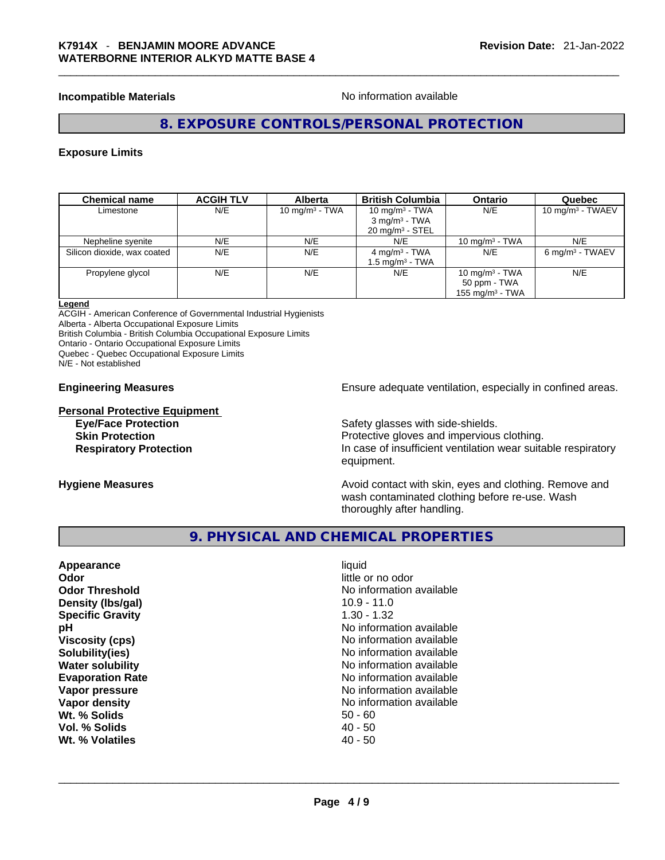# **Incompatible Materials Materials** No information available

# **8. EXPOSURE CONTROLS/PERSONAL PROTECTION**

# **Exposure Limits**

| <b>Chemical name</b>        | <b>ACGIH TLV</b> | <b>Alberta</b>    | <b>British Columbia</b>                                                       | <b>Ontario</b>                                          | Quebec                     |
|-----------------------------|------------------|-------------------|-------------------------------------------------------------------------------|---------------------------------------------------------|----------------------------|
| Limestone                   | N/E              | 10 mg/m $3$ - TWA | 10 $mq/m3$ - TWA<br>$3$ mg/m <sup>3</sup> - TWA<br>$20 \text{ mg/m}^3$ - STEL | N/E                                                     | 10 mg/m $3$ - TWAEV        |
| Nepheline syenite           | N/E              | N/E               | N/E                                                                           | $10 \text{ mg/m}^3$ - TWA                               | N/E                        |
| Silicon dioxide, wax coated | N/E              | N/E               | 4 mg/m <sup>3</sup> - TWA<br>$1.5 \text{ ma/m}^3$ - TWA                       | N/E                                                     | $6 \text{ mg/m}^3$ - TWAEV |
| Propylene glycol            | N/E              | N/E               | N/E                                                                           | 10 mg/m $3$ - TWA<br>50 ppm - TWA<br>155 mg/m $3$ - TWA | N/E                        |

# **Legend**

ACGIH - American Conference of Governmental Industrial Hygienists Alberta - Alberta Occupational Exposure Limits British Columbia - British Columbia Occupational Exposure Limits

Ontario - Ontario Occupational Exposure Limits

Quebec - Quebec Occupational Exposure Limits

N/E - Not established

**Personal Protective Equipment**

**Engineering Measures Ensure 2018** Ensure adequate ventilation, especially in confined areas.

**Eye/Face Protection Safety glasses with side-shields. Skin Protection Protection Protective gloves and impervious clothing. Respiratory Protection In case of insufficient ventilation wear suitable respiratory** equipment.

**Hygiene Measures Avoid contact with skin, eyes and clothing. Remove and Hygiene Measures Avoid contact with skin, eyes and clothing. Remove and** wash contaminated clothing before re-use. Wash thoroughly after handling.

# **9. PHYSICAL AND CHEMICAL PROPERTIES**

| Appearance<br>Odor<br><b>Odor Threshold</b><br>Density (Ibs/gal)<br><b>Specific Gravity</b><br>рH<br><b>Viscosity (cps)</b><br>Solubility(ies) | liquid<br>little or no odor<br>No information available<br>$10.9 - 11.0$<br>$1.30 - 1.32$<br>No information available<br>No information available<br>No information available |
|------------------------------------------------------------------------------------------------------------------------------------------------|-------------------------------------------------------------------------------------------------------------------------------------------------------------------------------|
| <b>Water solubility</b>                                                                                                                        | No information available                                                                                                                                                      |
| <b>Evaporation Rate</b>                                                                                                                        | No information available                                                                                                                                                      |
| Vapor pressure                                                                                                                                 | No information available                                                                                                                                                      |
| Vapor density                                                                                                                                  | No information available                                                                                                                                                      |
| Wt. % Solids                                                                                                                                   | $50 - 60$                                                                                                                                                                     |
| Vol. % Solids                                                                                                                                  | $40 - 50$                                                                                                                                                                     |
| Wt. % Volatiles                                                                                                                                | $40 - 50$                                                                                                                                                                     |
|                                                                                                                                                |                                                                                                                                                                               |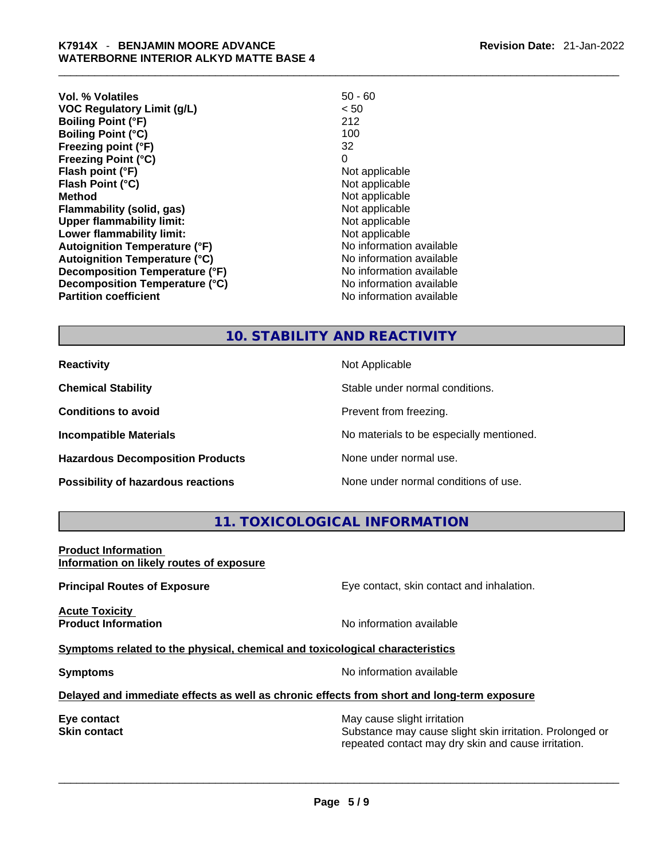| Vol. % Volatiles                     | $50 - 60$                |
|--------------------------------------|--------------------------|
| <b>VOC Regulatory Limit (g/L)</b>    | < 50                     |
| <b>Boiling Point (°F)</b>            | 212                      |
| <b>Boiling Point (°C)</b>            | 100                      |
| Freezing point (°F)                  | 32                       |
| <b>Freezing Point (°C)</b>           | 0                        |
| Flash point (°F)                     | Not applicable           |
| Flash Point (°C)                     | Not applicable           |
| <b>Method</b>                        | Not applicable           |
| <b>Flammability (solid, gas)</b>     | Not applicable           |
| <b>Upper flammability limit:</b>     | Not applicable           |
| Lower flammability limit:            | Not applicable           |
| <b>Autoignition Temperature (°F)</b> | No information available |
| <b>Autoignition Temperature (°C)</b> | No information available |
| Decomposition Temperature (°F)       | No information available |
| Decomposition Temperature (°C)       | No information available |
| <b>Partition coefficient</b>         | No information available |

# **10. STABILITY AND REACTIVITY**

**Hazardous Decomposition Products** None under normal use.

**Reactivity Not Applicable Not Applicable Chemical Stability** Stable under normal conditions. **Conditions to avoid Conditions to avoid Prevent from freezing. Incompatible Materials No materials** No materials to be especially mentioned.

**Possibility of hazardous reactions** None under normal conditions of use.

**11. TOXICOLOGICAL INFORMATION** 

**Product Information Information on likely routes of exposure**

**Principal Routes of Exposure Exposure** Eye contact, skin contact and inhalation.

**Acute Toxicity Product Information** 

**Symptoms related to the physical,chemical and toxicological characteristics**

**Symptoms Symptoms No information available** 

# **Delayed and immediate effects as well as chronic effects from short and long-term exposure**

**Eye contact** May cause slight irritation **Eye** contact **May cause slight irritation Skin contact Substance may cause slight skin irritation. Prolonged or** Substance may cause slight skin irritation. Prolonged or repeated contact may dry skin and cause irritation.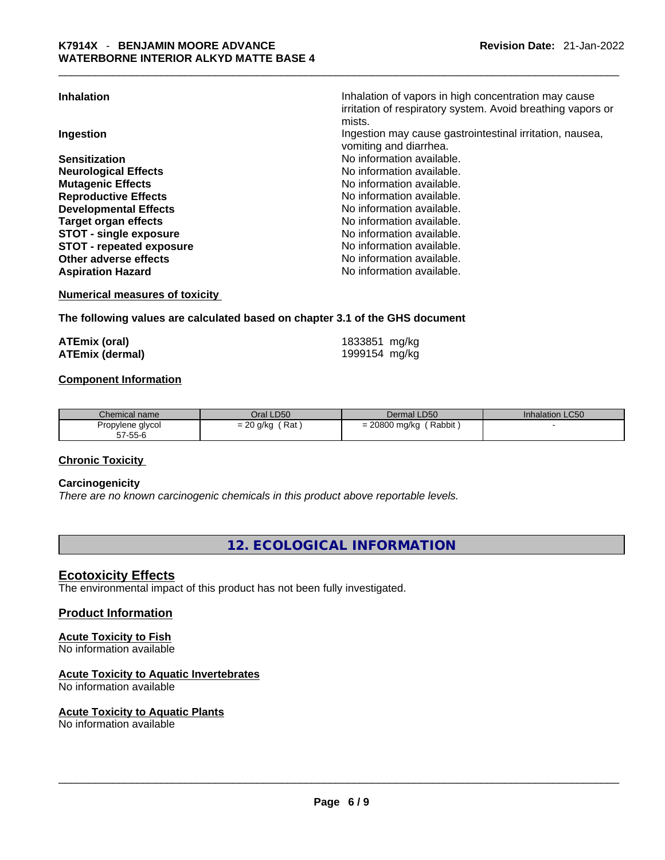**Inhalation** Inhalation of vapors in high concentration may cause

|                                 | irritation of respiratory system. Avoid breathing vapors or<br>mists. |
|---------------------------------|-----------------------------------------------------------------------|
| Ingestion                       | Ingestion may cause gastrointestinal irritation, nausea,              |
|                                 | vomiting and diarrhea.                                                |
| <b>Sensitization</b>            | No information available.                                             |
| <b>Neurological Effects</b>     | No information available.                                             |
| <b>Mutagenic Effects</b>        | No information available.                                             |
| <b>Reproductive Effects</b>     | No information available.                                             |
| <b>Developmental Effects</b>    | No information available.                                             |
| <b>Target organ effects</b>     | No information available.                                             |
| <b>STOT - single exposure</b>   | No information available.                                             |
| <b>STOT - repeated exposure</b> | No information available.                                             |
| <b>Other adverse effects</b>    | No information available.                                             |
| <b>Aspiration Hazard</b>        | No information available.                                             |
|                                 |                                                                       |

**Numerical measures of toxicity**

# **The following values are calculated based on chapter 3.1 of the GHS document**

| <b>ATEmix (oral)</b>   | 1833851 mg/kg |  |
|------------------------|---------------|--|
| <b>ATEmix (dermal)</b> | 1999154 mg/kg |  |

# **Component Information**

| Chemical name               | Oral LD50                  | Dermal LD50                  | Inhalation LC50 |
|-----------------------------|----------------------------|------------------------------|-----------------|
| Propylene glycol<br>57-55-6 | Rat<br>$\sim$<br>= 20 g/kg | Rabbit<br>: 20800 mg/kg<br>- |                 |

# **Chronic Toxicity**

# **Carcinogenicity**

*There are no known carcinogenic chemicals in this product above reportable levels.* 

**12. ECOLOGICAL INFORMATION** 

# **Ecotoxicity Effects**

The environmental impact of this product has not been fully investigated.

# **Product Information**

# **Acute Toxicity to Fish**

No information available

# **Acute Toxicity to Aquatic Invertebrates**

No information available

# **Acute Toxicity to Aquatic Plants**

No information available \_\_\_\_\_\_\_\_\_\_\_\_\_\_\_\_\_\_\_\_\_\_\_\_\_\_\_\_\_\_\_\_\_\_\_\_\_\_\_\_\_\_\_\_\_\_\_\_\_\_\_\_\_\_\_\_\_\_\_\_\_\_\_\_\_\_\_\_\_\_\_\_\_\_\_\_\_\_\_\_\_\_\_\_\_\_\_\_\_\_\_\_\_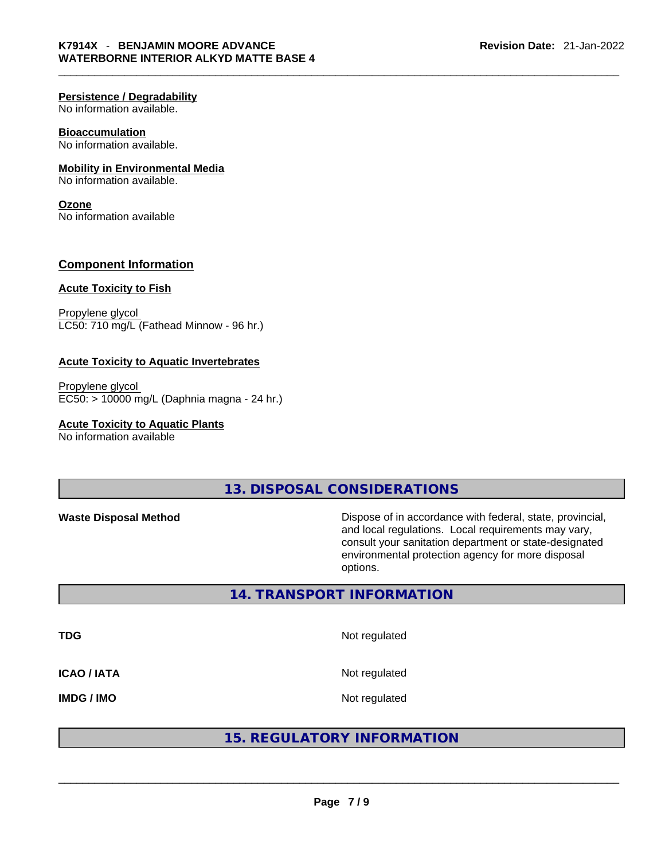# **Persistence / Degradability**

No information available.

# **Bioaccumulation**

No information available.

# **Mobility in Environmental Media**

No information available.

## **Ozone**

No information available

# **Component Information**

# **Acute Toxicity to Fish**

Propylene glycol LC50: 710 mg/L (Fathead Minnow - 96 hr.)

# **Acute Toxicity to Aquatic Invertebrates**

Propylene glycol EC50: > 10000 mg/L (Daphnia magna - 24 hr.)

# **Acute Toxicity to Aquatic Plants**

No information available

# **13. DISPOSAL CONSIDERATIONS**

**Waste Disposal Method** Dispose of in accordance with federal, state, provincial, and local regulations. Local requirements may vary, consult your sanitation department or state-designated environmental protection agency for more disposal options.

# **14. TRANSPORT INFORMATION**

**TDG** Not regulated **ICAO / IATA** Not regulated

# IMDG / IMO<br>
And regulated<br>  $\begin{array}{|l|l|}\hline \textbf{15. REGULAR} & \textbf{16.} \\ \hline \end{array}$ <br>  $\begin{array}{|l|l|l|}\hline \textbf{15. REGULAR} & \textbf{16.} \\ \hline \end{array}$ **15. REGULATORY INFORMATION**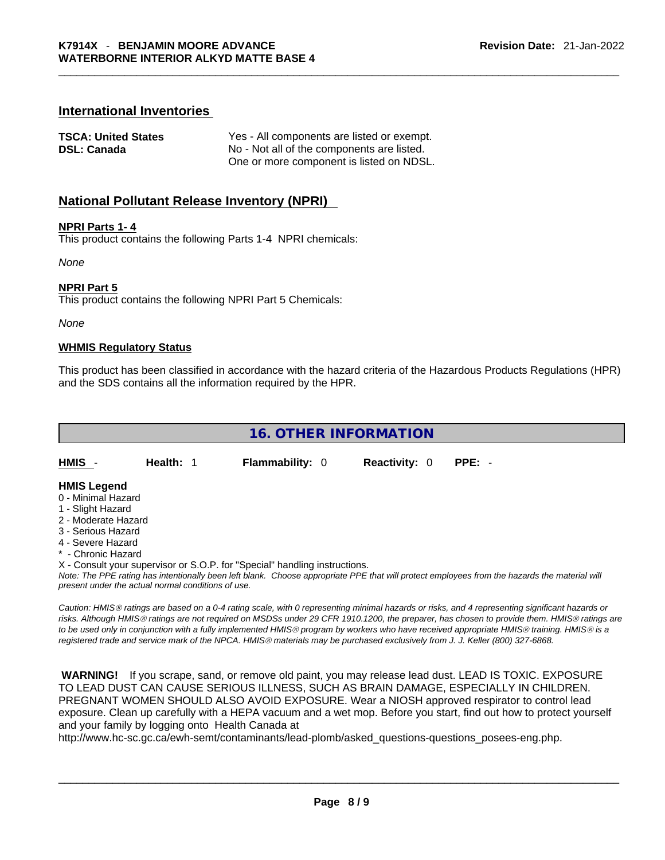# **International Inventories**

| <b>TSCA: United States</b> | Yes - All components are listed or exempt. |
|----------------------------|--------------------------------------------|
| DSL: Canada                | No - Not all of the components are listed. |
|                            | One or more component is listed on NDSL.   |

# **National Pollutant Release Inventory (NPRI)**

# **NPRI Parts 1- 4**

This product contains the following Parts 1-4 NPRI chemicals:

*None*

# **NPRI Part 5**

This product contains the following NPRI Part 5 Chemicals:

*None*

# **WHMIS Regulatory Status**

This product has been classified in accordance with the hazard criteria of the Hazardous Products Regulations (HPR) and the SDS contains all the information required by the HPR.

**16. OTHER INFORMATION** 

**HMIS** - **Health:** 1 **Flammability:** 0 **Reactivity:** 0 **PPE:** -

#### **HMIS Legend**

- 0 Minimal Hazard
- 1 Slight Hazard
- 2 Moderate Hazard
- 3 Serious Hazard
- 4 Severe Hazard
- \* Chronic Hazard
- X Consult your supervisor or S.O.P. for "Special" handling instructions.

Note: The PPE rating has intentionally been left blank. Choose appropriate PPE that will protect employees from the hazards the material will *present under the actual normal conditions of use.* 

*Caution: HMISÒ ratings are based on a 0-4 rating scale, with 0 representing minimal hazards or risks, and 4 representing significant hazards or risks. Although HMISÒ ratings are not required on MSDSs under 29 CFR 1910.1200, the preparer, has chosen to provide them. HMISÒ ratings are to be used only in conjunction with a fully implemented HMISÒ program by workers who have received appropriate HMISÒ training. HMISÒ is a registered trade and service mark of the NPCA. HMISÒ materials may be purchased exclusively from J. J. Keller (800) 327-6868.* 

 **WARNING!** If you scrape, sand, or remove old paint, you may release lead dust. LEAD IS TOXIC. EXPOSURE TO LEAD DUST CAN CAUSE SERIOUS ILLNESS, SUCH AS BRAIN DAMAGE, ESPECIALLY IN CHILDREN. PREGNANT WOMEN SHOULD ALSO AVOID EXPOSURE.Wear a NIOSH approved respirator to control lead exposure. Clean up carefully with a HEPA vacuum and a wet mop. Before you start, find out how to protect yourself and your family by logging onto Health Canada at

http://www.hc-sc.gc.ca/ewh-semt/contaminants/lead-plomb/asked\_questions-questions\_posees-eng.php.